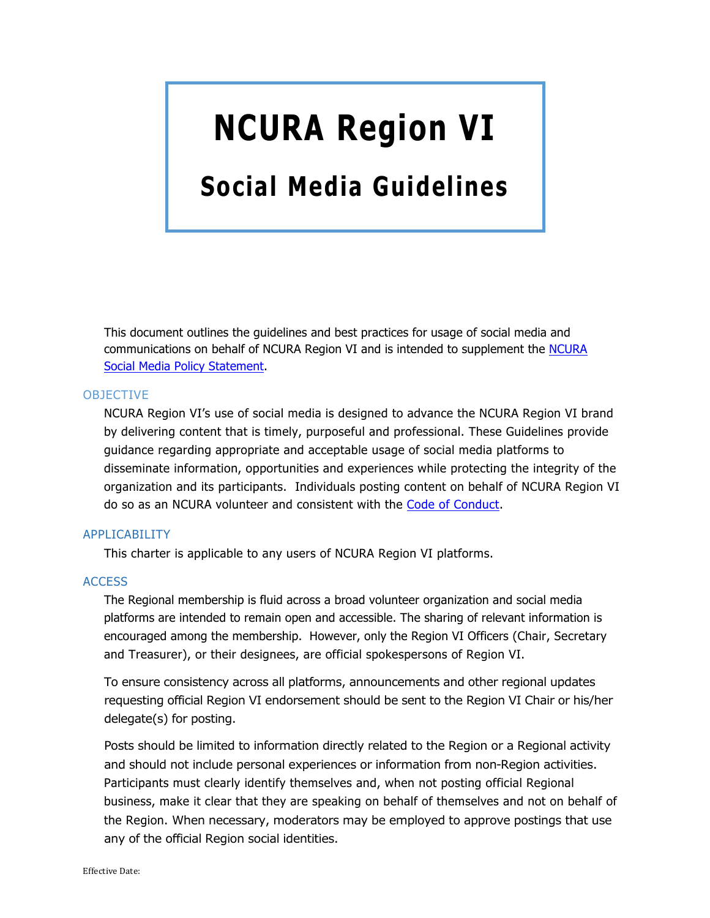# **NCURA Region VI**

# **Social Media Guidelines**

This document outlines the guidelines and best practices for usage of social media and communications on behalf of NCURA Region VI and is intended to supplement the NCURA Social Media Policy Statement.

# OBJECTIVE

NCURA Region VI's use of social media is designed to advance the NCURA Region VI brand by delivering content that is timely, purposeful and professional. These Guidelines provide guidance regarding appropriate and acceptable usage of social media platforms to disseminate information, opportunities and experiences while protecting the integrity of the organization and its participants. Individuals posting content on behalf of NCURA Region VI do so as an NCURA volunteer and consistent with the Code of Conduct.

# APPLICABILITY

This charter is applicable to any users of NCURA Region VI platforms.

#### **ACCESS**

The Regional membership is fluid across a broad volunteer organization and social media platforms are intended to remain open and accessible. The sharing of relevant information is encouraged among the membership. However, only the Region VI Officers (Chair, Secretary and Treasurer), or their designees, are official spokespersons of Region VI.

To ensure consistency across all platforms, announcements and other regional updates requesting official Region VI endorsement should be sent to the Region VI Chair or his/her delegate(s) for posting.

Posts should be limited to information directly related to the Region or a Regional activity and should not include personal experiences or information from non-Region activities. Participants must clearly identify themselves and, when not posting official Regional business, make it clear that they are speaking on behalf of themselves and not on behalf of the Region. When necessary, moderators may be employed to approve postings that use any of the official Region social identities.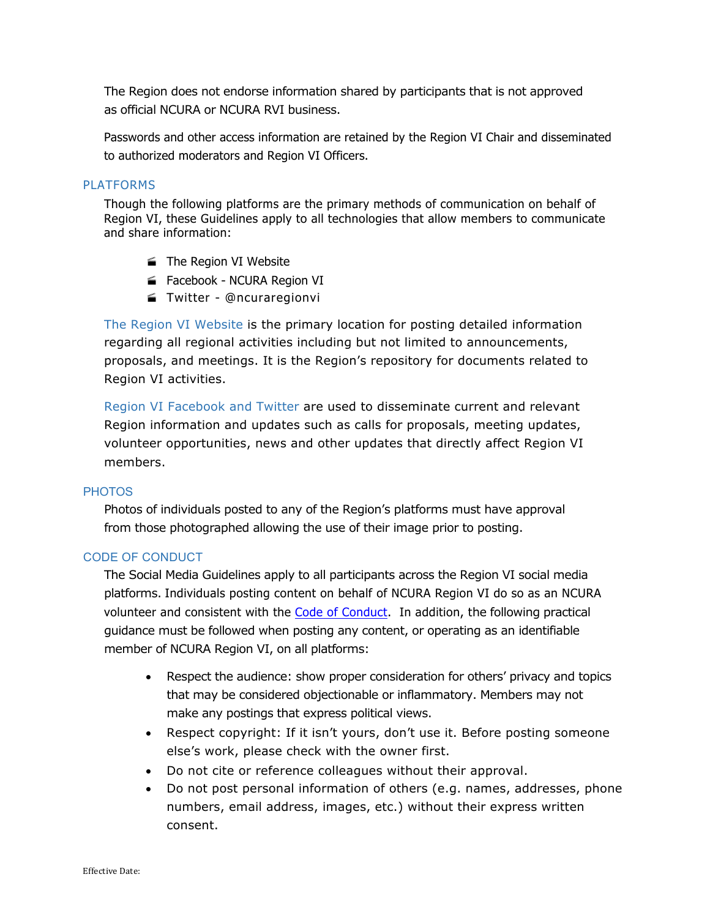The Region does not endorse information shared by participants that is not approved as official NCURA or NCURA RVI business.

Passwords and other access information are retained by the Region VI Chair and disseminated to authorized moderators and Region VI Officers.

# **PLATFORMS**

Though the following platforms are the primary methods of communication on behalf of Region VI, these Guidelines apply to all technologies that allow members to communicate and share information:

- The Region VI Website
- Facebook NCURA Region VI
- · Twitter @ncuraregionvi

The Region VI Website is the primary location for posting detailed information regarding all regional activities including but not limited to announcements, proposals, and meetings. It is the Region's repository for documents related to Region VI activities.

Region VI Facebook and Twitter are used to disseminate current and relevant Region information and updates such as calls for proposals, meeting updates, volunteer opportunities, news and other updates that directly affect Region VI members.

#### **PHOTOS**

Photos of individuals posted to any of the Region's platforms must have approval from those photographed allowing the use of their image prior to posting.

#### CODE OF CONDUCT

The Social Media Guidelines apply to all participants across the Region VI social media platforms. Individuals posting content on behalf of NCURA Region VI do so as an NCURA volunteer and consistent with the Code of Conduct. In addition, the following practical guidance must be followed when posting any content, or operating as an identifiable member of NCURA Region VI, on all platforms:

- Respect the audience: show proper consideration for others' privacy and topics that may be considered objectionable or inflammatory. Members may not make any postings that express political views.
- Respect copyright: If it isn't yours, don't use it. Before posting someone else's work, please check with the owner first.
- Do not cite or reference colleagues without their approval.
- Do not post personal information of others (e.g. names, addresses, phone numbers, email address, images, etc.) without their express written consent.